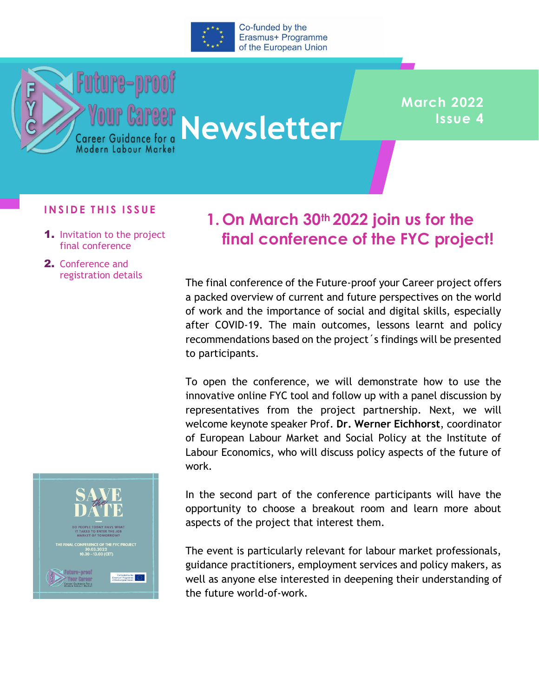

*Your Career*<br>Career Guidance for a Newsletter

## **March 2022 Issue 4**

## **I N S I D E T H I S I S S U E**

1. Invitation to the project final conference

**Future-proof** 

2. Conference and registration details

## **1. On March 30th 2022 join us for the final conference of the FYC project!**

The final conference of the Future-proof your Career project offers a packed overview of current and future perspectives on the world of work and the importance of social and digital skills, especially after COVID-19. The main outcomes, lessons learnt and policy recommendations based on the project´s findings will be presented to participants.

To open the conference, we will demonstrate how to use the innovative online FYC tool and follow up with a panel discussion by representatives from the project partnership. Next, we will welcome keynote speaker Prof. **Dr. Werner Eichhorst**, coordinator of European Labour Market and Social Policy at the Institute of Labour Economics, who will discuss policy aspects of the future of work.



In the second part of the conference participants will have the opportunity to choose a breakout room and learn more about aspects of the project that interest them.

The event is particularly relevant for labour market professionals, guidance practitioners, employment services and policy makers, as well as anyone else interested in deepening their understanding of the future world-of-work.